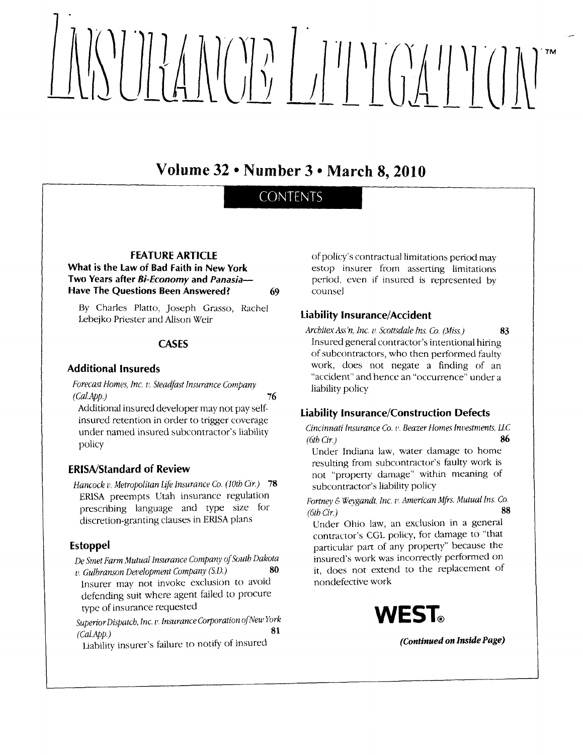# fur Mr0n ltl'l'l ffi'l'l (l]\1

Volume 32 . Number 3 . March 8, 2010

# **CONTENTS**

FEATURE ARTICLE

# What is the Law of Bad Faith in New York Two Years after Bi-Economy and Panasia-Have The Questions Been Answered? 69

By Charles Platto, Joseph Grasso, Rachel Lebejko Priester and Alison Weir

# **CASES**

# Additional Insureds

Forecast Homes, lnc. u. Steadfast Insurance Company  $(CalApp.)$  76

Additional insured developer may not pay selfinsured retention in order to trigger coverage under named insured subcontractor's liability policy

# ERISA/Standard of Review

Hancock v. Metropolitan Life Insurance Co. (10th Cir.) 78 ERISA preempts Utah insurance regulation prescribing language and type size for discretion-granting clauses in ERISA plans

# Estoppel

De Smet Farm Mutual Insurance Company of South Dakota<br>
se Culhranson Development Company (S.D.)  $v.$  Gulbranson Development Company (S.D.)

Insurer may not invoke exclusion to avoid defending suit where agent failed to procure rype of insurance requested

Superior Dispatch, Inc. v. Insurance Corporation of New York<br>
61  $\left(Cal App.\right)$  81

Liability insurer's failure to notify of insured

of policy's contractual limitations period may estop insurer from asserting limitations periocl. even if insured is represented by counsel

# **Liability Insurance/Accident**

Architex Ass'n, Inc. v. Scottsdale Ins. Co. (Miss.) 83 Insured general contractor's intentional hiring of subcontractors, who then performed faulty work, does not negate a finding of an "accident" and hence an "occurrence" under <sup>a</sup> liabiliry policy

# tiability Insurance/Construction Defects

Cincinnati Insurance Co. v. Beazer Homes Investments, LLC  $(6th Cir.)$  86

Under Indiana law, water damage to home resulting from subcontractor's faulty work is not "property damage" within meaning of subcontractor's liability policy

Fortney & Weygandt, Inc. v. American Mfrs. Mutual Ins. Co.<br>68  $(6th Cir.)$  88

Under Ohio law, an exclusion in a general contractor's CGL policy, for clamage to "that particular part of any property" because the insured's work was incorrectly performed on it, does not extend to the replacement of nondefective work



(Continued on Inside Page)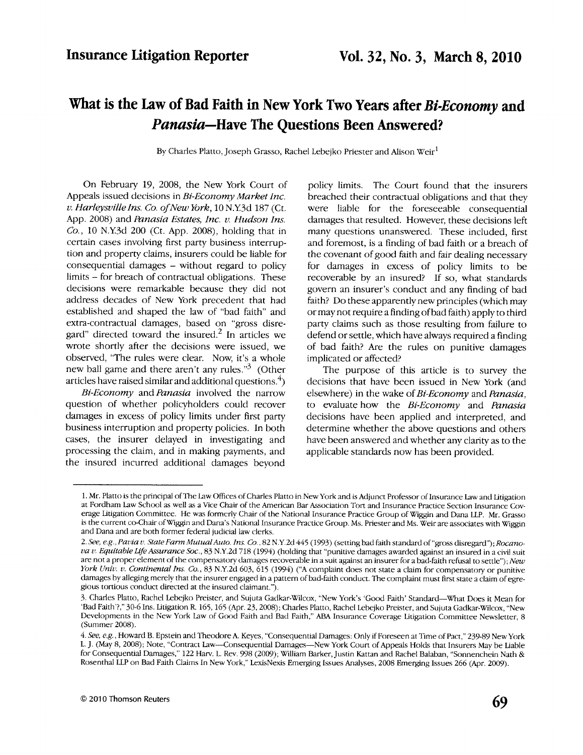# What is the Law of Bad Faith in New York Two Years after Bi-Economy and Panasia-Have The Questions Been Answered?

By Charles Platto, Joseph Grasso, Rachel Lebejko Priester and Alison Weir<sup>1</sup>

On February 19, 2008, the New York Court of Appeals issued decisions in Bi-Economy Market Inc. v. Harleysville Ins. Co. of New York, 10 N.Y.3d 187 (Ct. App. 2008) and Panasia Estates, Inc. v. Hudson Ins. Co., lO N.Y3d 200 (Ct. App. 2008), holding that in certain cases involving first party business interruption and property claims, insurers could be liable for consequential damages - without regard to policy limits - for breach of contractual obligations. These decisions were remarkable because they did not address decades of New York precedent that had established and shaped the law of "bad faith" and extra-contractual damages, based on "gross disregard" directed toward the insured.<sup>2</sup> In articles we wrote shortly after the decisions were issued, we observed, "The rules were clear. Now, it's a whole new ball game and there aren't any rules."<sup>3</sup> (Other articles have raised similar and additional questions. $^{4}$ )

Bi-Economy and Panasia involved the narrow question of whether policyholders could recover damages in excess of policy limits under first parry business interruption and properry policies. In both cases, the insurer delayed in investigating and processing the claim, and in making payments, and the insured incurred additional damages beyond

policy limits. The Court found that the insurers breached their contractual obligations and that they were liable for the foreseeable consequential damages that resulted. However, these decisions left many questions unanswered. These included, first and foremost, is a finding of bad faith or a breach of the covenant of good faith and fair dealing necessary for damages in excess of policy limits to be recoverable by an insured? If so, what standards govern an insurer's conduct and any finding of bad faith? Do these apparently new principles (which may or may not require a finding of bad faith) apply to third party claims such as those resulting from failure to defend or settle, which have always required a finding of bad faith? Are the rules on punitive damages implicated or affected?

The purpose of this article is to survey the decisions that have been issued in New York (and elsewhere) in the wake of Bi-Economy and Panasia, to evaluate how the Bi-Economy and Panasia decisions have been applied and interpreted, and determine whether the above questions and others have been answered and whether any clarity as to the applicable standards now has been provided.

<sup>1.</sup> Mr. Platto is the principal of The law Offices of Charles Platto in NewYork and is Adiunct Professor of lnsurance taw ancl Lidgation at Fordham Law School as well as a Vice Chair of the American Bar Association Tort and Insurance Practice Section Insurance Coverage Litigation Committee. He was formerly Chair of the National Insurance Practice Group of Wiggin and Dana LLP. Mr. Grasso is the current co-Chair of Wiggin and Dana's National Insurance Practice Group. Ms. Priester and Ms. Weir are associates with Wiggin and Dana and are both former federal judicial law clerks.

<sup>2.</sup> See, e.g., Pavia v. State Farm Mutual Auto. Ins. Co., 82 N.Y.2d 445 (1993) (setting bad faith standard of "gross disregard"); Rocanova v. Equitable Life Assurance Soc., 83 N.Y.2d 718 (1994) (holding that "punitive damages awarded against an insured in a civil suit are not a proper element of the compensatory damages recoverable in a suit against an insurer for a bad-faith refusal to settle"); New York Univ. v. Continental Ins. Co., 83 N.Y.2d 603, 615 (1994) ("A complaint does not state a claim for compensatory or punitive damages by alleging merely that the insurer engaged in a pattern of bad-faith conduct. The complaint must first state a claim of egregious tortious conduct directed at the insured claimant.").

<sup>3.</sup> Charles Platto, Rachel Lebejko Preister, and Sujuta Gadkar-Wilcox, "New York's 'Good Faith' Standard-What Does it Mean for 'Bad Faith'?," 30-6 Ins. Litigation R. 165, 165 (Apr. 23, 2008); Charles Platto, Rachel Lebeiko Preister, and Suiuta Gadkar-Wilcox, "New Developments in the New York Law of Good Faith and Bad Faith," ABA Insurance Coverage Litigation Committee Newsletter, 8 (Summer 2008).

<sup>4.</sup> See, e.g., Howard B. Epstein and Theodore A. Keyes, "Consequential Damages: Only if Foreseen at Time of Pact," 239-89 New York L. J. (May 8, 2008); Note, "Contract Law--Consequential Damages--New York Court of Appeals Holds that Insurers May be Liable for Consequential Damages," 122 Harv. L. Rev. 998 (2009); William Barker, Justin Kattan and Rachel Balaban, "Sonnenchein Nath & Rosenthal LLP on Bad Faith Claims In New York," LexisNexis Emerging Issues Analyses, 2008 Emerging Issues 266 (Apr. 2009).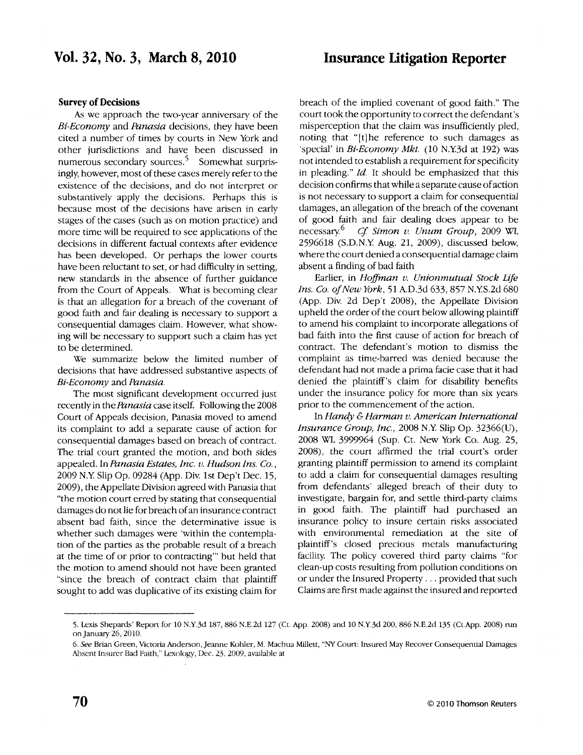# Insurance titigation Reporter

### Survey of Decisions

As we approach the two-year anniversary of the Bi-Economy and Panasia decisions, they have been cited a number of times by courts in New York and other jurisdictions and have been discussed in numerous secondary sources.<sup>5</sup> Somewhat surprisingly, however, most of these cases merely refer to the existence of the decisions, and do not interpret or substantively apply the decisions. Perhaps this is because most of the decisions have arisen in early stages of the cases (such as on motion practice) and more time will be required to see applications of the decisions in different factual contexts after evidence has been developed. Or perhaps the lower courts have been reluctant to set, or had difficulty in setting, new standards in the absence of further guidance from the Court of Appeals. What is becoming clear is that an allegation for a breach of the covenant of good faith and fair dealing is necessary to support a consequential damages claim. However, what showing will be necessary to support such a claim has yet to be determined.

We summarize below the limited number of decisions that have addressed substantive aspects of Bi-Economy and Panasia.

The most significant development occurred just recently in the *Panasia* case itself. Following the 2008 Court of Appeals decision, Panasia moved to amend its complaint to add a separate cause of action for consequential damages based on breach of contract. The trial court granted the motion, and both sides appealed. In Panasia Estates, Inc. v. Hudson Ins. Co., 2009 N.Y Slip Op. 09284 (App. Div. 1st Dep't Dec. 15, 2009), the Appellate Division agreed with Panasia that "the motion court erred bystating that consequential damages do not lie forbreach of an insurance contract absent bad faith, since the determinative issue is whether such damages were 'within the contemplation of the parties as the probable result of a breach at the time of or prior to contracting" but held that the motion to amend should not have been granted "since the breach of contract claim that plaintiff sought to add was duplicative of its existing claim for

breach of the implied covenant of good fairh." The court took the opportunity to correct the defendant's misperception that the claim was insufficiently pled, noting that "[t] he reference to such damages as 'special' in Bi-Economy Mkt. (10 N.Y3d at 192) was not intended to establish a requirement for specificity in pleading."  $Id$ . It should be emphasized that this decision confirms that while a separate cause of action is not necessary to support a claim for consequential damages, an allegation of the breach of the covenant of good faith and fair dealing does appear to be necessary.<sup>6</sup> *Cf. Simon v. Unum Group*, 2009 WL 2596618 (S.D.N.Y Aug. 21, 2OO9), discussed below, where the court denied a consequential damage claim absent a finding of bad faith

Earlier, in Hoffman v. Unionmutual Stock Life Ins. Co. of New York, 51 A.D.3d 633, 857 N.Y.S.2d 680 (App. Div. 2d Dep't 2008), the Appellate Division upheld the order of the court below allowing plaintiff to amend his complaint to incorporate allegations of bad faith into the first cause of action for breach of contract. The defendant's motion to dismiss the complaint as time-barred was denied because the defendant had not made a prima facie case that it had denied the plaintiff's claim for disability benefits under the insurance policy for more than six years prior to the commencement of the action.

In Handy & Harman v. American International *Insurance Group, Inc., 2008 N.Y. Slip Op.*  $32366(U)$ , 2008 Wl 3999964 (Sup. Ct. New York Co. Aug. 25, 2008). the court affirmed the trial court's order granting plaintiff permission to amend its complaint to add a claim for consequential damages resulting from defendants' alleged breach of their dury to investigate, bargain for, and settle third-party claims in good faith. The plaintiff had purchased an insurance policy to insure certain risks associatecl with environmental remediation at the site of plaintiff's closed precious metals manufacturing facility The policy covered third party claims "for clean-up costs resulting from pollution conditions on or under the Insured Properry , . . provided that such Claims are first made against the insured and reported

<sup>5.</sup> Lexis Shepards' Report for 10 N.Y.3d 187, 886 N.E.2d 127 (Ct. App. 2008) and 10 N.Y.3d 200, 886 N.E.2d 135 (Ct.App. 2008) run onJanuary 26,2010.

<sup>6.</sup> See Brian Green, Victoria Anderson, Jeanne Kohler, M. Machua Millett, "NY Court: Insured May Recover Consequential Damages Absent Insurer Bad Faith," lexology, Dec.23,2009, available at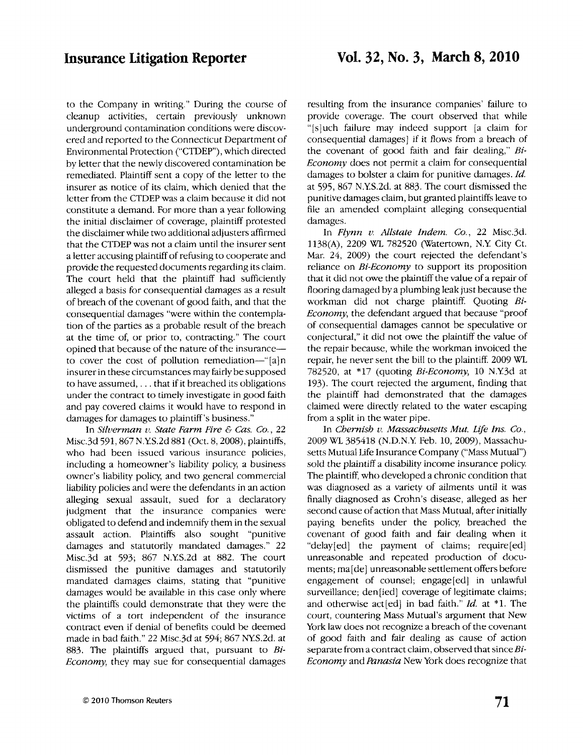to the Company in writing." During the course of cleanup activities, certain previously unknown underground contamination conditions were discovered and reported to the Connecticut Department of Environmental Protection ("CTDEP"), which directed by letter that the newly discovered contamination be remediated. Plaintiff sent a copy of the letter to the insurer as notice of its claim, which denied that the letter from the CTDEP was a claim because it did not constitute a demand. For more than a year following the initial disclaimer of coverage, plaintiff protested the disclaimerwhile rwo additional adiusters affirmed that the CTDEP was not a claim until the insurer sent a letter accusing plaintiff of refusing to cooperate and provide the requested documents regarding its claim. The court held that the plaintiff had sufficiently alleged a basis for consequential damages as a result of breach of the covenant of good faith, and that the consequential damages "were within the contemplation of the parties as a probable result of the breach at the time of, or prior to, contracting." The court opined that because of the nature of the insuranceto cover the cost of pollution remediation-"[a]n insurer in these circumstances may fairly be supposed to have assumed, . . . that if it breached its obligations under the contract to timely investigate in good faith and pay covered claims it would have to respond in damages for damages to plaintiff 's business."

In Silverman v. State Farm Fire & Cas. Co., 22 Misc.3d 591, 867 N.Y.S.2d 881 (Oct. 8, 2008), plaintiffs, who had been issued various insurance policies, including a homeowner's liability policy, a business owner's liability policy and two general commercial liabiliry policies and were the defendants in an action alleging sexual assault, sued for a declaratory iudgment that the insurance companies were obligated to defend and indemnify them in the sexual assault action. Plaintiffs also sought "punitive damages and statutorily mandated damages." 22 Misc.3d at 593; 867 N.Y.S.2d at 882. The court dismissed the punitive damages and statutorily mandated damages claims, stating that "punitive damages would be available in this case only where the plaintiffs could demonstrate that they were the victims of a tort independent of the insurance contract even if denial of benefits could be deemed made in bad faith." 22 Misc.3d at 594:867 NYS.2d. at 883. The plaintiffs argued that, pursuant to Bi-Economy, they may sue for consequential damages

resulting from the insurance companies' failure to provide coverage. The court observed that while "[s]uch failure may indeed support [a claim for consequential damages] if it flows from a breach of the covenant of good faith and fair dealing," Bi-Economy does not permit a claim for consequential damages to bolster a claim for punitive damages. Id. at 595, 867 N.Y.S.2d. at 883. The court dismissed the<br>punitive damages claim, but granted plaintiffs leave to file an amendecl complaint alleging consequential damages.

In Flynn v. Allstate Indem. Co., 22 Misc.3d. 1138(A), 2209 WL 782520 (Watertown, N.Y. City Ct. Mar. 24, 2009) the court rejected the defendant's reliance on  $Bi-Economy$  to support its proposition that it did not owe the plaintiff the value of a repair of flooring damaged bya plumbing leak just because the workman did not charge plaintiff. Quoting Bi-Economy, the defendant argued that because "proof of consequential damages cannot be speculative or conjectural," it did not owe the plaintiff the value of the repair because, while the workman invoiced the repair, he never sent the bill to the plaintiff. 2009 WL 782520, at  $*17$  (quoting *Bi-Economy*, 10 N.Y.3d at 193). The court reiected the argument, finding that the plaintiff had demonstrated that the damages claimed were directly related to the water escaping from a split in the water pipe.

ln Cbernisb u. Massacbusetts Mut. Life Ins. Co., 2009 WL 385478 (N.D.N.Y Feb. 10, 2009), Massachusetts Mutual Life Insurance Company ("Mass Mutual") sold the plaintiff a disability income insurance policy. The plaintiff, who developed a chronic condition that was diagnosed as a variety of ailments until it was finally diagnosed as Crohn's disease, alleged as her second cause of action that Mass Mutual, after initially paying benefits under the poliry, breached the covenant of good faith and fair dealing when it "delay[ed] the payment of claims; require[ed] unreasonable and repeated production of documents; ma[de] unreasonable settlement offers before engagement of counsel; engage[ed] in unlawful surveillance; den[ied] coverage of legitimate claims; and otherwise act [ed] in bad faith."  $Id.$  at \*1. The court, countering Mass Mutual's argument that New York law does not recognize a breach of the covenant of good faith and fair dealing as cause of action separate from a contract claim, observed that since Bi-Economy and Panasia New York does recognize that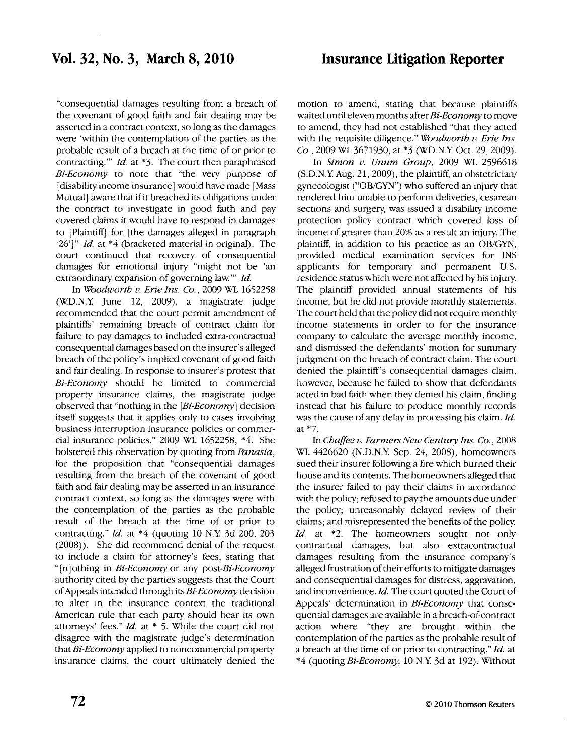"consequential damages resulting from a breach of the covenant of good faith and fair dealing may be asserted in a contract context, so long as the damages were 'within the contemplation of the parties as the probable result of a breach at the time of or prior to contracting.""  $Id.$  at  $*3.$  The court then paraphrased Bi-Economy to note that "the very purpose of [disability income insurance] would have made [Mass Mutual] aware that if it breached its obligations under the contract to investigate in good faith and pay covered claims it would have to respond in damages to [Plaintiff] for [the damages alleged in paragraph '26']"  $Id.$  at \*4 (bracketed material in original). The court continued that recovery of consequential damages for emotional injury "might not be 'an extraordinary expansion of governing law."" Id.

ln\Yoodwortb u. Erie Ins. Co.,2009 Wf 7652258 ('WD.N.Y June 12, 2009), a magistrate judge recommended that the court permit amendment of plaintiffs' remaining breach of contract claim for tailure to pay damages to included extra-contractual consequential damages based on the insurer's alleged breach of the poliry's implied covenant of good faith and fair dealing. In response to insurer's protest that Bi-Economy should be limited to commercial property insurance claims, the magistrate judge observed that "nothing in the  $[Bi-Econom]$  decision itself suggests that it applies only to cases involving business interruption insurance policies or commercial insurance policies."  $2009$  WL 1652258,  $*4$ . She bolstered this observation by quoting from Panasia, for the proposition that "consequential damages resulting from the breach of the covenant of good faith and fair dealing may be asserted in an insurance contract context, so long as the damages were with the contemplation of the parties as the probable result of the breach at the time of or prior to contracting."  $Id$ . at  $*4$  (quoting 10 N.Y. 3d 200, 203 (2008)). She did recommend denial of the request to include a claim for attorney's fees, stating that "[n]othing in  $Bi-Economy$  or any post-Bi-Economy authority cited by the parties suggests that the Court ofAppeals intended through its Bi-Economy decision to alter in the insurance context the traditional American rule that each party should bear its own attorneys' fees."  $Id.$  at  $*$  5. While the court did not disagree with the magistrate judge's determination that Bi-Economy applied to noncommercial property insurance claims, the court ultimately denied the

motion to amend, stating that because plaintiffs waited until eleven months after  $Bi$ -Economy to move to amend, they had not established "that they acted with the requisite diligence." Woodworth  $v$ . Erie Ins. Co., 2009 WL 3671930, at \*3 (W.D.N.Y. Oct. 29, 2009).

In Simon v. Unum Group, 2009 WL 2596618  $(S.D.N.Y. Aug. 21, 2009)$ , the plaintiff, an obstetrician/ gynecologist ("OB/GYN") who suffered an injury that rendered him unable to perform deliveries, cesarean sections and surgery, was issued a disability income protection policy contract which covered loss of income of greater than 20% as a result an injury. The plaintiff, in addition to his practice as an OB/GYN, provided medical examination services for INS applicants for temporary and permanent U.S. residence status which were not affected by his iniury. The plaintiff provided annual statements of his income, but he did not provide monthly statements. The court held that the policy did not require monthly income statements in order to for the insurance company to calculate the average monthly income, and dismissed the defendants' motion for summary judgment on the breach of contract claim. The court denied the plaintiff's consequential damages claim, however, because he failed to show that defendants acted in bad faith when they denied his claim, finding instead that his failure to produce monthly records was the cause of any delay in processing his claim. Id. at \*7.

In Chaffee v. Farmers New Century Ins. Co., 2008 VL 4426620 (N.D.N.Y Sep. 24,2008), homeowners sued their insurer following a fire which burned their house and its contents. The homeowners alleged that the insurer failed to pay their claims in accordance with the poliry; refused to pay the amounts due under the policy; unreasonably delayed review of their claims; and misrepresented the benefits of the policy. Id. at \*2. The homeowners sought not only contractual damages, but also extracontractual damages resulting from the insurance company's alleged frustration of theirefforts to mitigate damages and consequential damages for distress, aggravation, and inconvenience. Id. The court quoted the Court of Appeals' determination in Bi-Economy that consequential damages are available in a breach-of-contract action where "they are brought within the contemplation of the parties as the probable result of a breach at the time of or prior to contracting." Id. at \*4 (quoting Bi-Economy, 10 N.Y. 3d at 192). Without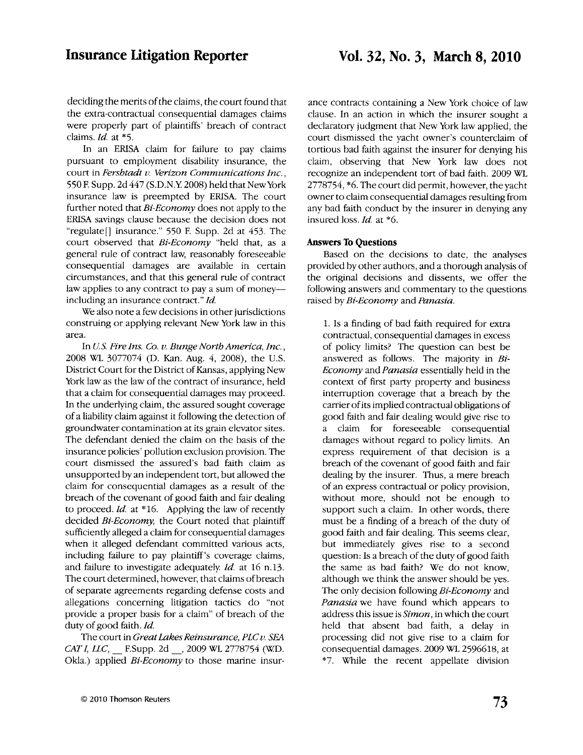# Insurance Litigation Reporter

# Yol. J2, No. 3, March 8, 2010

deciding the merits of the claims, the court found that the extra-contractual consequential damages claims were properly part of plaintiffs' breach of contract claims.  $Id.$  at  $*5.$ 

In an ERISA claim for failure to pay claims pursuant to employment disabiliry insurance, the court in Fershtadt v. Verizon Communications Inc., 550 F. Supp. 2d 447 (S.D.N.Y. 2008) held that New York insurance law is preempted by ERISA. The court further noted that Bi-Economy does not apply to the ERISA savings clause because the decision does not "regulate[] insurance." 550 F. Supp. 2d at 453. The court observed that Bi-Economy "held that, as <sup>a</sup> general rule of contract law, reasonably foreseeable consequential damages are available in certain circumstances, and that this general rule of contract law applies to any contract to pay a sum of moneyincluding an insurance contract." Id.

We also note a few decisions in other jurisdictions construing or applying relevant New York law in this area.

In U.S. Fire Ins. Co. u. Bunge Nortb America, Inc., 2008 WL 3077074 (D. Kan. Aug. 4, 2008), the U.S. District Court for the District of Kansas, applying New York law as the law of the contract of insurance, held that a claim for consequential damages may proceed. In the underlying claim, the assured sought coverage of a liabiliry claim against it following the detection of groundwater contamination at its grain elevator sites. The defendant denied the claim on the basis of the insurance policies' pollution exclusion provision. The court dismissed the assured's bad faith claim as unsupported by an independent tort, but allowed the claim for consequential damages as a result of the breach of the covenant of good faith and fair dealing to proceed. Id. at \*16. Applying the law of recently decided Bi-Economy, the Court noted that plaintiff sufficiently alleged a claim for consequential damages when it alleged defendant committed various acts, including failure to pay plaintiff's coverage claims, and failure to investigate adequately.  $Id$ . at 16 n.13. The court determined, however, that claims of breach of separate agreements regarding defense costs and allegations concerning litigation tactics do "not provide a proper basis for a claim" of breach of the duty of good faith. Id.

The court in Great Lakes Reinsurance, PLC v. SEA CAT I, LLC, F.Supp. 2d , 2009 WL 2778754 (W.D. Okla.) applied *Bi-Economy* to those marine insurance contracts containing a New York choice of law clause. In an action in which the insurer sought a declaratory judgment that New York law applied, the court dismissed the yacht owner's counterclaim of tortious bad faith against the insurer for denying his claim, obseruing that New York law does not recognize an independent tort of bad faith. 2009 WI  $2778754$ ,  $*6$ . The court did permit, however, the yacht ownerto claim consequentid damages resulting from any bad faith conduct by the insurer in denying any insured loss. Id. at \*6.

### Answers To Questions

Based on the decisions to date, the analyses provided by other authors, and a thorough analysis of the original decisions and dissents, we offer the following answers and commentary to the questions raised by Bi-Economy and Panasia.

1. Is a finding of bad faith required for extra contractual, consequential damages in excess of policy limits? The question can besr be answered as follows. The majority in Bi-Economy and Panasia essentially held in the context of first parry properry and business intemrption coverage that a breach by the carrier of its implied contractual obligations of good faith and fair dealing would give rise to a claim for foreseeable consequential damages without regard to policy limits. An express requirement of that decision is <sup>a</sup> breach of the covenant of good faith and fair dealing by the insurer. Thus, a mere breach of an express contractual or policy provision, without more, should not be enough to support such a claim. In other words, there must be a finding of a breach of the duty of good faith and fair dealing. This seems clear, but immediately gives rise to a second question: Is a breach of the dury of good faith the same as bad faith? We do not know, although we think the answer should be yes. The only decision following  $Bi-Economy$  and Panasia we have found which appears to address this issue is Simon, in which the court held that absent bad faith, a delay in processing did not give rise to a claim for consequential damages. 2009 WL 2596618, at \*7. While the recent appellate division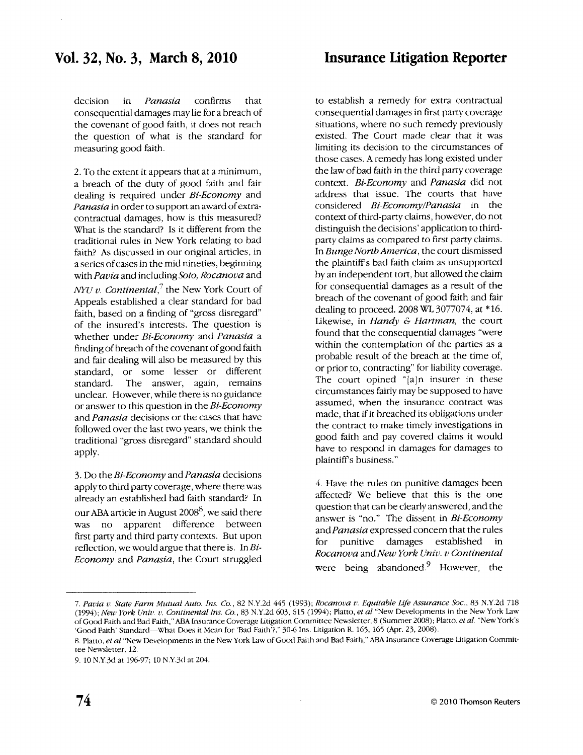decision in *Panasia* confirms that consequential damages may lie for a breach of the covenant of good faith, it does not reach the question of what is the standard for measuring good faith.

2. To the extent it appears that at a minimum, a breach of the duty of good faith and fair dealing is required under Bi-Economy and Panasia in order to support an award of extracontractual damages, how is this measured? What is the standard? Is it different from the traditional rules in New York relating to bad faith? As discussed in our original articles, in a series of cases in the mid nineties, beginning with Pavia and including Soto, Rocanova and *NYU v. Continental*,<sup>7</sup> the New York Court of Appeals established a clear standard for bad faith, based on a finding of "gross disregard" of the insured's interests. The question is whether under Bi-Economy and Panasia a finding of breach of the covenant of good faith and fair dealing will also be measured by this standard, or some lesser or different standard. The answer. again, remains unclear. However, while there is no guidance or answer to this question in the Bi-Economy and Panasia decisions or the cases that have followed over the last two years, we think the traditional "gross disregard" standard should apply.

3. Do the *Bi-Economy* and *Panasia* decisions applyto third partycoverage, where there was already an established bad faith standard? In our ABA article in August  $2008^8$ , we said there was no apparent difference between first pany and third party contexts. But upon reflection, we would argue that there is. In  $Bi$ -Economy and Panasia, the Court struggled

to establish a remedy for extra contractual consequential damages in first party coverage situations, where no such remedy previously existed. The Court made clear that it was limiting its decision to the circumstances of those cases. A remedy has long existed under the law of bad faith in the third party coverage context. Bi-Economy and Panasia did not address that issue. The courts that have considered Bi-Economy/Panasia in the context of third-panyclaims, however, do not distinguish the decisions' application to thirdparty claims as compared to first party claims. In Bunge Nortb America, the court dismissed the plaintiffs bad faith claim as unsupported byan independent tort, but allowed the claim for consequential damages as a result of the breach of the covenant of good faith and fair dealing to proceed. 2008 Wt 3077074, at \*15. Likewise, in Handy  $E$  Hartman, the court found that the consequential damages "were within the contemplation of the parties as a probable result of the breach at the time of, or prior to, contracting" for liabiliry coverage. The court opined " $[a]$ n insurer in these circumstances fairly may be supposed to have assumed, when the insurance contract was made, that if it breached its obligations under the contract to make timelv investigations in good faith and pay covered claims it would have to respond in damages for damages to plaintiffs business."

4. Have the rules on punitive damages been affected? Ve believe that this is the one question that can be clearly answered, and the answer is "no." The dissent in Bi-Economy and Panasia expressed concern that the rules for punitive damages established Rocanova and New York Univ. v Continental were being abandoned.<sup>9</sup> However, the

<sup>7.</sup> Pavia v. State Farm Mutual Auto. Ins. Co., 82 N.Y.2d 445 (1993); Rocanova v. Equitable Life Assurance Soc., 83 N.Y.2d 718 (1994); New York Univ. v. Continental Ins. Co., 83 N.Y.2d 603, 615 (1994); Platto, et al "New Developments in the New York Law of Good Faith and Bad Faith," ABA Insurance Coverage Litigation Committee Newsletter, 8 (Summer 2008); Platto, et al. "New York's 'Good Faith' Standard-What Does it Mean for 'Bad Faith'?," 30-6 Ins. Litigation R. 165, 165 (Apr. 23, 2008).

<sup>8.</sup> Platto, et al "New Developments in the New York Law of Good Faith and Bad Faith," ABA Insurance Coverage Litigation Commitree Newsletter. 12.

<sup>9. 10</sup> N.Y.3d at 196-97; 10 N.Y.3d at 204.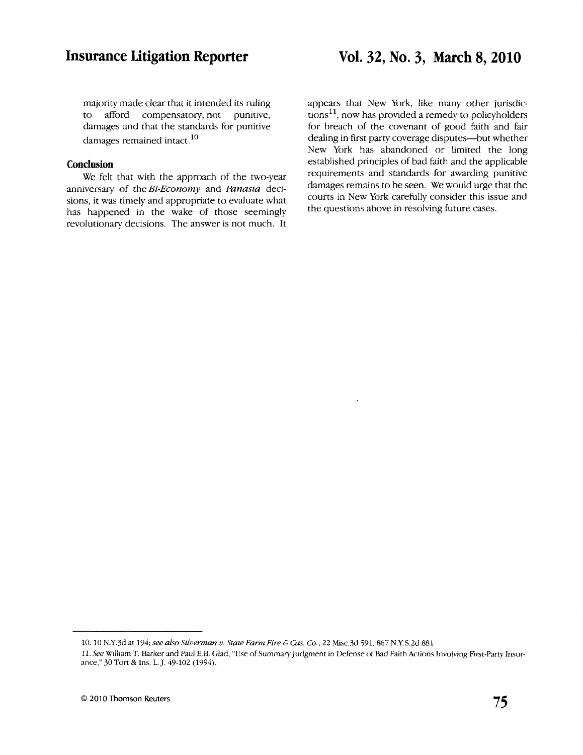majority made clear that it intended its ruling to afford compensatory, not punitive, damages and that the standards for punitive damages remained intact.<sup>10</sup>

### Conclusion

We felt that with the approach of the two-year anniversary of the Bi-Economy and Panasia decisions, it was timely and appropriate to evaluate what has happened in the wake of those seemingly revolutionary decisions. The answer is not much. It

appears that New York, like many ocher jurisdic $tions<sup>11</sup>$ , now has provided a remedy to policyholders for breach of the covenant of good faith and fair dealing in first party coverage disputes--but whether New York has abandoned or limited the long established principles of bad faith and the applicable requirements and standards for awarding punitive damages remains to be seen. We would urge that the courts in New York carefully consider this issue and the questions above in resolving future cases.

<sup>10. 10</sup> N.Y.3d at 194; see also Silverman v. State Farm Fire & Cas. Co., 22 Misc.3d 591, 867 N.Y.S.2d 881

<sup>11.</sup> See William T. Barker and Paul E.B. Glad, "Use of Summary Judgment in Defense of Bad Faith Actions Involving First-Party Insurance," 30 Ton & Ins. L.J.49-102 (1994).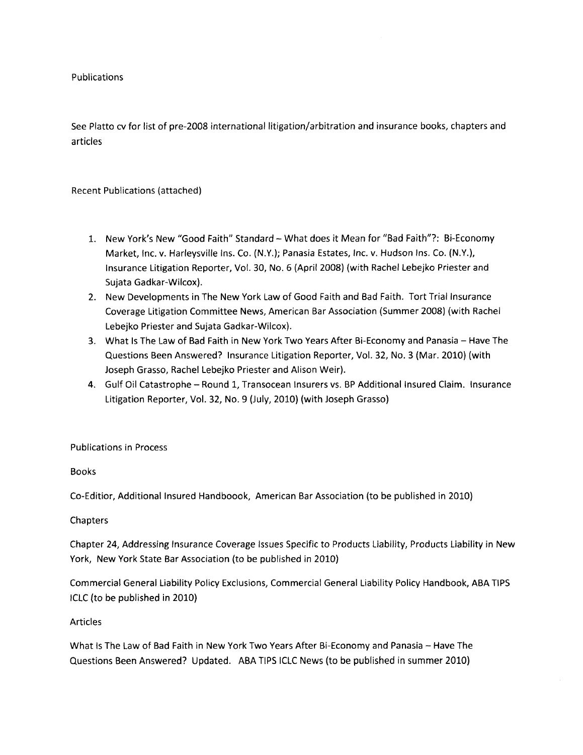Publications

See Platto cv for list of pre-2008 international litigation/arbitration and insurance books, chapters and articles

### Recent Publications (attached)

- 1. New York's New "Good Faith" Standard What does it Mean for "Bad Faith"?: Bi-Economy Market, Inc. v. Harleysville Ins. Co. (N.Y.); Panasia Estates, Inc. v. Hudson Ins. Co. (N.Y.), Insurance Litigation Reporter, Vol. 30, No. 6 (April 2008) (with Rachel Lebejko Priester and Sujata Gadkar-Wilcox).
- 2. New Developments in The New York Law of Good Faith and Bad Faith. Tort Trial Insurance Coverage Litigation Committee News, American Bar Association (Summer 2008) (with Rachel Lebejko Priester and Sujata Gadkar-Wilcox).
- 3. What Is The Law of Bad Faith in New York Two Years After Bi-Economy and Panasia Have The Questions Been Answered? Insurance Litigation Reporter, Vol. 32, No. 3 (Mar. 2010) (with Joseph Grasso, Rachel Lebejko Priester and Alison Weir).
- 4. Gulf Oil Catastrophe Round 1, Transocean Insurers vs. BP Additional Insured Claim. Insurance Litigation Reporter, Vol. 32, No. 9 (July, 2010) (with Joseph Grasso)

# Publications in Process

Books

Co-Editior, Additional Insured Handboook, American Bar Association (to be published in 2010)

# Chapters

Chapter 24, Addressing Insurance Coverage lssues Specific to Products Liability, Products Liability in New York, New York State Bar Association (to be published in 2010)

Commercial General Liability Policy Exclusions, Commercial General Liability Policy Handbook, ABA TIPS ICLC {to be published in 2010)

### Articles

What Is The Law of Bad Faith in New York Two Years After Bi-Economy and Panasia - Have The Questions Been Answered? Updated. ABA TIPS ICLC News (to be published in summer 2010)